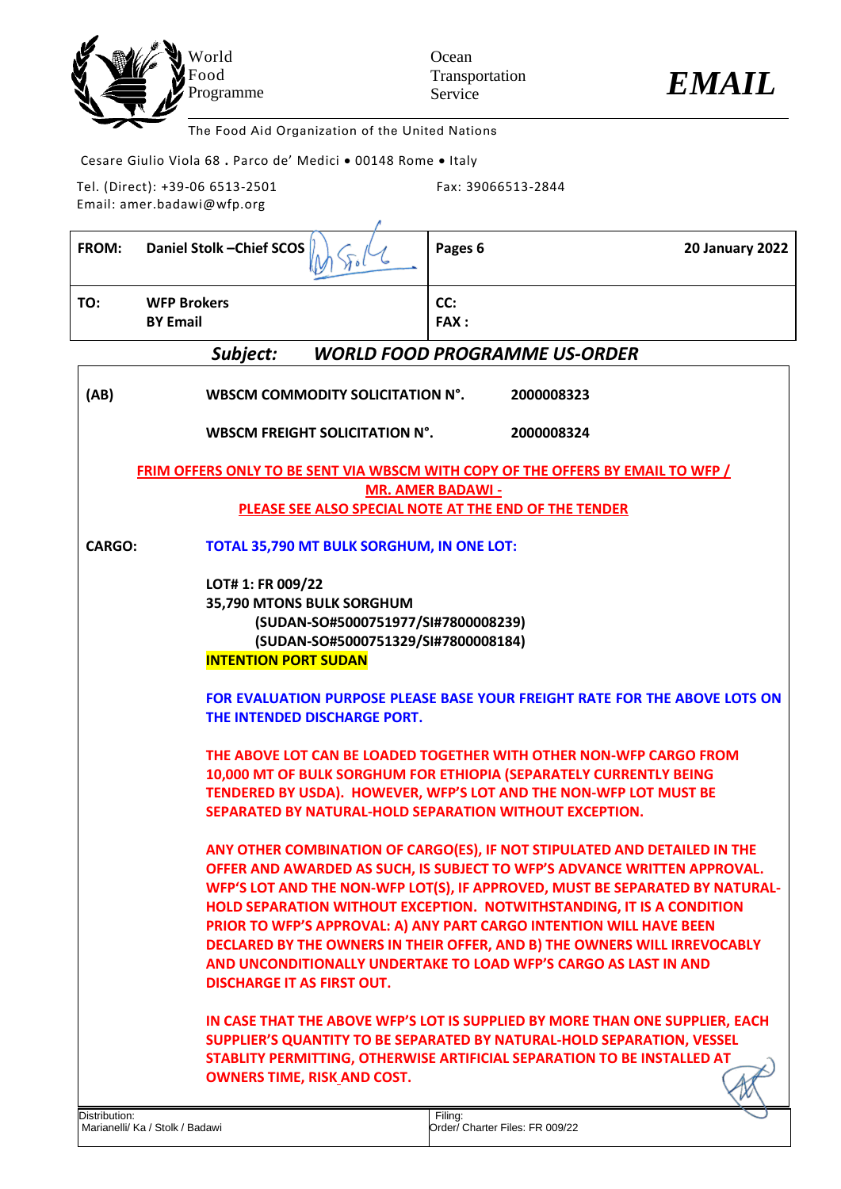



The Food Aid Organization of the United Nations

Cesare Giulio Viola 68 **.** Parco de' Medici • 00148 Rome • Italy

Tel. (Direct): +39-06 6513-2501 Email: amer.badawi@wfp.org

Fax: 39066513-2844

| <b>FROM:</b>  | Daniel Stolk-Chief SCOS                                                                                                                                     | Pages 6<br><b>20 January 2022</b>                                                                                                                                                                                                                                                                                                                                                                                                                                                                                                      |
|---------------|-------------------------------------------------------------------------------------------------------------------------------------------------------------|----------------------------------------------------------------------------------------------------------------------------------------------------------------------------------------------------------------------------------------------------------------------------------------------------------------------------------------------------------------------------------------------------------------------------------------------------------------------------------------------------------------------------------------|
| TO:           | <b>WFP Brokers</b><br><b>BY Email</b>                                                                                                                       | CC:<br><b>FAX:</b>                                                                                                                                                                                                                                                                                                                                                                                                                                                                                                                     |
|               | Subject:                                                                                                                                                    | <b>WORLD FOOD PROGRAMME US-ORDER</b>                                                                                                                                                                                                                                                                                                                                                                                                                                                                                                   |
| (AB)          | WBSCM COMMODITY SOLICITATION N°.                                                                                                                            | 2000008323                                                                                                                                                                                                                                                                                                                                                                                                                                                                                                                             |
|               | <b>WBSCM FREIGHT SOLICITATION N°.</b>                                                                                                                       | 2000008324                                                                                                                                                                                                                                                                                                                                                                                                                                                                                                                             |
|               |                                                                                                                                                             | <b>FRIM OFFERS ONLY TO BE SENT VIA WBSCM WITH COPY OF THE OFFERS BY EMAIL TO WFP /</b>                                                                                                                                                                                                                                                                                                                                                                                                                                                 |
|               |                                                                                                                                                             | <b>MR. AMER BADAWI -</b><br>PLEASE SEE ALSO SPECIAL NOTE AT THE END OF THE TENDER                                                                                                                                                                                                                                                                                                                                                                                                                                                      |
| CARGO:        | TOTAL 35,790 MT BULK SORGHUM, IN ONE LOT:                                                                                                                   |                                                                                                                                                                                                                                                                                                                                                                                                                                                                                                                                        |
|               | LOT# 1: FR 009/22<br>35,790 MTONS BULK SORGHUM<br>(SUDAN-SO#5000751977/SI#7800008239)<br>(SUDAN-SO#5000751329/SI#7800008184)<br><b>INTENTION PORT SUDAN</b> |                                                                                                                                                                                                                                                                                                                                                                                                                                                                                                                                        |
|               | THE INTENDED DISCHARGE PORT.                                                                                                                                | <b>FOR EVALUATION PURPOSE PLEASE BASE YOUR FREIGHT RATE FOR THE ABOVE LOTS ON</b>                                                                                                                                                                                                                                                                                                                                                                                                                                                      |
|               | SEPARATED BY NATURAL-HOLD SEPARATION WITHOUT EXCEPTION.                                                                                                     | THE ABOVE LOT CAN BE LOADED TOGETHER WITH OTHER NON-WFP CARGO FROM<br>10,000 MT OF BULK SORGHUM FOR ETHIOPIA (SEPARATELY CURRENTLY BEING<br>TENDERED BY USDA). HOWEVER, WFP'S LOT AND THE NON-WFP LOT MUST BE                                                                                                                                                                                                                                                                                                                          |
|               | <b>DISCHARGE IT AS FIRST OUT.</b>                                                                                                                           | ANY OTHER COMBINATION OF CARGO(ES), IF NOT STIPULATED AND DETAILED IN THE<br>OFFER AND AWARDED AS SUCH, IS SUBJECT TO WFP'S ADVANCE WRITTEN APPROVAL.<br>WFP'S LOT AND THE NON-WFP LOT(S), IF APPROVED, MUST BE SEPARATED BY NATURAL-<br>HOLD SEPARATION WITHOUT EXCEPTION. NOTWITHSTANDING, IT IS A CONDITION<br>PRIOR TO WFP'S APPROVAL: A) ANY PART CARGO INTENTION WILL HAVE BEEN<br>DECLARED BY THE OWNERS IN THEIR OFFER, AND B) THE OWNERS WILL IRREVOCABLY<br>AND UNCONDITIONALLY UNDERTAKE TO LOAD WFP'S CARGO AS LAST IN AND |
|               | <b>OWNERS TIME, RISK AND COST.</b>                                                                                                                          | IN CASE THAT THE ABOVE WFP'S LOT IS SUPPLIED BY MORE THAN ONE SUPPLIER, EACH<br>SUPPLIER'S QUANTITY TO BE SEPARATED BY NATURAL-HOLD SEPARATION, VESSEL<br>STABLITY PERMITTING, OTHERWISE ARTIFICIAL SEPARATION TO BE INSTALLED AT                                                                                                                                                                                                                                                                                                      |
| Distribution: | Marianelli/ Ka / Stolk / Badawi                                                                                                                             | Filing:<br>Order/ Charter Files: FR 009/22                                                                                                                                                                                                                                                                                                                                                                                                                                                                                             |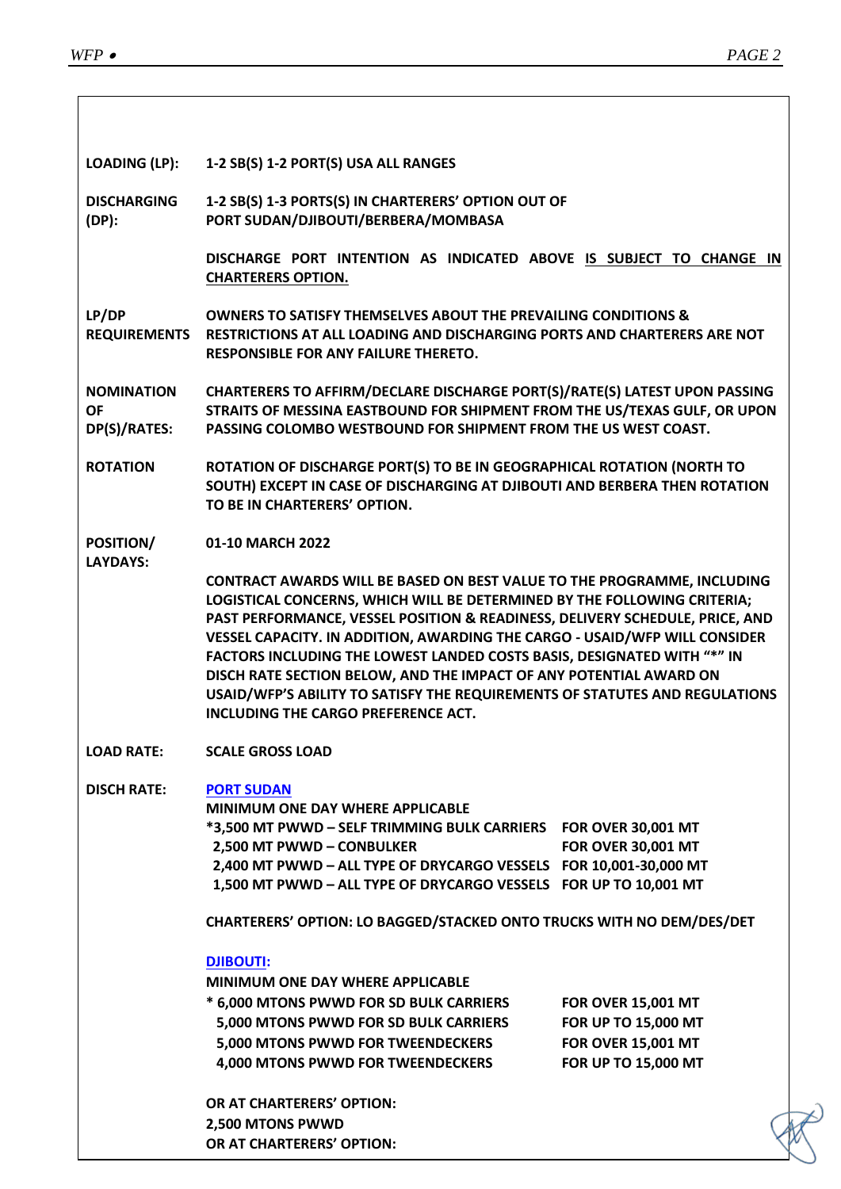$\overline{\phantom{a}}$ 

| <b>LOADING (LP):</b>                           | 1-2 SB(S) 1-2 PORT(S) USA ALL RANGES                                                                                                                                                                                                                                                                                                                                                                                                                                                                                                                                                            |                                                                                                      |
|------------------------------------------------|-------------------------------------------------------------------------------------------------------------------------------------------------------------------------------------------------------------------------------------------------------------------------------------------------------------------------------------------------------------------------------------------------------------------------------------------------------------------------------------------------------------------------------------------------------------------------------------------------|------------------------------------------------------------------------------------------------------|
| <b>DISCHARGING</b><br>$(DP)$ :                 | 1-2 SB(S) 1-3 PORTS(S) IN CHARTERERS' OPTION OUT OF<br>PORT SUDAN/DJIBOUTI/BERBERA/MOMBASA                                                                                                                                                                                                                                                                                                                                                                                                                                                                                                      |                                                                                                      |
|                                                | DISCHARGE PORT INTENTION AS INDICATED ABOVE IS SUBJECT TO CHANGE IN<br><b>CHARTERERS OPTION.</b>                                                                                                                                                                                                                                                                                                                                                                                                                                                                                                |                                                                                                      |
| LP/DP                                          | <b>OWNERS TO SATISFY THEMSELVES ABOUT THE PREVAILING CONDITIONS &amp;</b><br>REQUIREMENTS RESTRICTIONS AT ALL LOADING AND DISCHARGING PORTS AND CHARTERERS ARE NOT<br><b>RESPONSIBLE FOR ANY FAILURE THERETO.</b>                                                                                                                                                                                                                                                                                                                                                                               |                                                                                                      |
| <b>NOMINATION</b><br><b>OF</b><br>DP(S)/RATES: | CHARTERERS TO AFFIRM/DECLARE DISCHARGE PORT(S)/RATE(S) LATEST UPON PASSING<br>STRAITS OF MESSINA EASTBOUND FOR SHIPMENT FROM THE US/TEXAS GULF, OR UPON<br>PASSING COLOMBO WESTBOUND FOR SHIPMENT FROM THE US WEST COAST.                                                                                                                                                                                                                                                                                                                                                                       |                                                                                                      |
| <b>ROTATION</b>                                | ROTATION OF DISCHARGE PORT(S) TO BE IN GEOGRAPHICAL ROTATION (NORTH TO<br>SOUTH) EXCEPT IN CASE OF DISCHARGING AT DJIBOUTI AND BERBERA THEN ROTATION<br>TO BE IN CHARTERERS' OPTION.                                                                                                                                                                                                                                                                                                                                                                                                            |                                                                                                      |
| POSITION/<br><b>LAYDAYS:</b>                   | 01-10 MARCH 2022                                                                                                                                                                                                                                                                                                                                                                                                                                                                                                                                                                                |                                                                                                      |
|                                                | <b>CONTRACT AWARDS WILL BE BASED ON BEST VALUE TO THE PROGRAMME, INCLUDING</b><br>LOGISTICAL CONCERNS, WHICH WILL BE DETERMINED BY THE FOLLOWING CRITERIA;<br>PAST PERFORMANCE, VESSEL POSITION & READINESS, DELIVERY SCHEDULE, PRICE, AND<br>VESSEL CAPACITY. IN ADDITION, AWARDING THE CARGO - USAID/WFP WILL CONSIDER<br>FACTORS INCLUDING THE LOWEST LANDED COSTS BASIS, DESIGNATED WITH "*" IN<br>DISCH RATE SECTION BELOW, AND THE IMPACT OF ANY POTENTIAL AWARD ON<br>USAID/WFP'S ABILITY TO SATISFY THE REQUIREMENTS OF STATUTES AND REGULATIONS<br>INCLUDING THE CARGO PREFERENCE ACT. |                                                                                                      |
| <b>LOAD RATE:</b>                              | <b>SCALE GROSS LOAD</b>                                                                                                                                                                                                                                                                                                                                                                                                                                                                                                                                                                         |                                                                                                      |
| <b>DISCH RATE:</b>                             | <b>PORT SUDAN</b><br>MINIMUM ONE DAY WHERE APPLICABLE<br>*3,500 MT PWWD - SELF TRIMMING BULK CARRIERS    FOR OVER 30,001 MT<br>2,500 MT PWWD - CONBULKER<br>2,400 MT PWWD - ALL TYPE OF DRYCARGO VESSELS FOR 10,001-30,000 MT<br>1,500 MT PWWD - ALL TYPE OF DRYCARGO VESSELS FOR UP TO 10,001 MT                                                                                                                                                                                                                                                                                               | <b>FOR OVER 30,001 MT</b>                                                                            |
|                                                | CHARTERERS' OPTION: LO BAGGED/STACKED ONTO TRUCKS WITH NO DEM/DES/DET                                                                                                                                                                                                                                                                                                                                                                                                                                                                                                                           |                                                                                                      |
|                                                | <b>DJIBOUTI:</b><br>MINIMUM ONE DAY WHERE APPLICABLE<br>* 6,000 MTONS PWWD FOR SD BULK CARRIERS<br>5,000 MTONS PWWD FOR SD BULK CARRIERS<br>5,000 MTONS PWWD FOR TWEENDECKERS<br>4,000 MTONS PWWD FOR TWEENDECKERS                                                                                                                                                                                                                                                                                                                                                                              | <b>FOR OVER 15,001 MT</b><br>FOR UP TO 15,000 MT<br><b>FOR OVER 15,001 MT</b><br>FOR UP TO 15,000 MT |
|                                                | OR AT CHARTERERS' OPTION:<br>2,500 MTONS PWWD<br>OR AT CHARTERERS' OPTION:                                                                                                                                                                                                                                                                                                                                                                                                                                                                                                                      |                                                                                                      |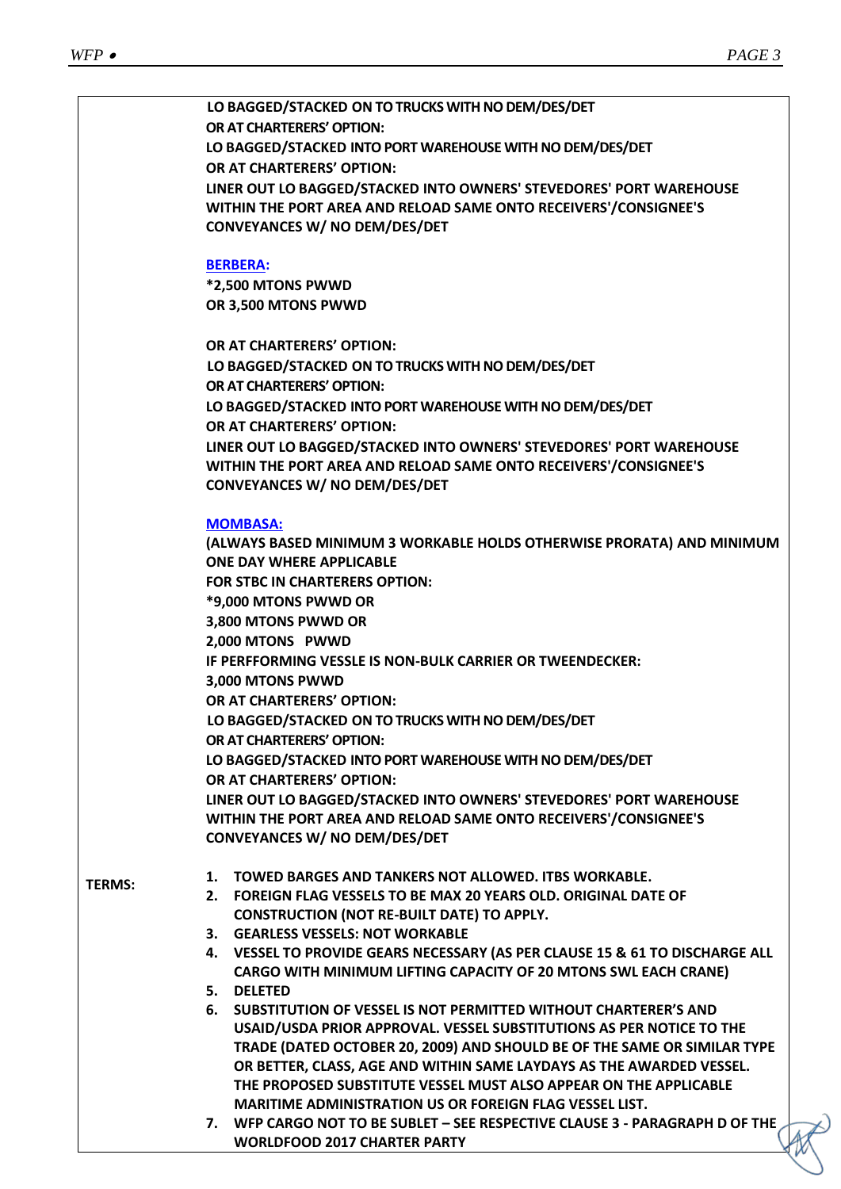|               | LO BAGGED/STACKED ON TO TRUCKS WITH NO DEM/DES/DET                                                                                      |
|---------------|-----------------------------------------------------------------------------------------------------------------------------------------|
|               | OR AT CHARTERERS' OPTION:                                                                                                               |
|               | LO BAGGED/STACKED INTO PORT WAREHOUSE WITH NO DEM/DES/DET                                                                               |
|               | OR AT CHARTERERS' OPTION:                                                                                                               |
|               | LINER OUT LO BAGGED/STACKED INTO OWNERS' STEVEDORES' PORT WAREHOUSE                                                                     |
|               | WITHIN THE PORT AREA AND RELOAD SAME ONTO RECEIVERS'/CONSIGNEE'S                                                                        |
|               | <b>CONVEYANCES W/ NO DEM/DES/DET</b>                                                                                                    |
|               | <b>BERBERA:</b>                                                                                                                         |
|               | *2,500 MTONS PWWD                                                                                                                       |
|               | OR 3,500 MTONS PWWD                                                                                                                     |
|               |                                                                                                                                         |
|               | OR AT CHARTERERS' OPTION:                                                                                                               |
|               | LO BAGGED/STACKED ON TO TRUCKS WITH NO DEM/DES/DET                                                                                      |
|               | OR AT CHARTERERS' OPTION:                                                                                                               |
|               | LO BAGGED/STACKED INTO PORT WAREHOUSE WITH NO DEM/DES/DET                                                                               |
|               | OR AT CHARTERERS' OPTION:                                                                                                               |
|               | LINER OUT LO BAGGED/STACKED INTO OWNERS' STEVEDORES' PORT WAREHOUSE                                                                     |
|               | WITHIN THE PORT AREA AND RELOAD SAME ONTO RECEIVERS'/CONSIGNEE'S                                                                        |
|               | <b>CONVEYANCES W/ NO DEM/DES/DET</b>                                                                                                    |
|               | <b>MOMBASA:</b>                                                                                                                         |
|               | (ALWAYS BASED MINIMUM 3 WORKABLE HOLDS OTHERWISE PRORATA) AND MINIMUM                                                                   |
|               | <b>ONE DAY WHERE APPLICABLE</b>                                                                                                         |
|               | <b>FOR STBC IN CHARTERERS OPTION:</b>                                                                                                   |
|               | *9,000 MTONS PWWD OR                                                                                                                    |
|               | 3,800 MTONS PWWD OR                                                                                                                     |
|               | 2,000 MTONS PWWD                                                                                                                        |
|               | IF PERFFORMING VESSLE IS NON-BULK CARRIER OR TWEENDECKER:                                                                               |
|               | 3,000 MTONS PWWD                                                                                                                        |
|               | OR AT CHARTERERS' OPTION:                                                                                                               |
|               | LO BAGGED/STACKED ON TO TRUCKS WITH NO DEM/DES/DET                                                                                      |
|               | OR AT CHARTERERS' OPTION:                                                                                                               |
|               | LO BAGGED/STACKED INTO PORT WAREHOUSE WITH NO DEM/DES/DET                                                                               |
|               | OR AT CHARTERERS' OPTION:                                                                                                               |
|               | LINER OUT LO BAGGED/STACKED INTO OWNERS' STEVEDORES' PORT WAREHOUSE<br>WITHIN THE PORT AREA AND RELOAD SAME ONTO RECEIVERS'/CONSIGNEE'S |
|               | <b>CONVEYANCES W/ NO DEM/DES/DET</b>                                                                                                    |
|               |                                                                                                                                         |
| <b>TERMS:</b> | 1. TOWED BARGES AND TANKERS NOT ALLOWED. ITBS WORKABLE.                                                                                 |
|               | <b>FOREIGN FLAG VESSELS TO BE MAX 20 YEARS OLD. ORIGINAL DATE OF</b><br>2.                                                              |
|               | <b>CONSTRUCTION (NOT RE-BUILT DATE) TO APPLY.</b>                                                                                       |
|               | 3. GEARLESS VESSELS: NOT WORKABLE                                                                                                       |
|               | 4. VESSEL TO PROVIDE GEARS NECESSARY (AS PER CLAUSE 15 & 61 TO DISCHARGE ALL                                                            |
|               | <b>CARGO WITH MINIMUM LIFTING CAPACITY OF 20 MTONS SWL EACH CRANE)</b><br>5. DELETED                                                    |
|               | 6. SUBSTITUTION OF VESSEL IS NOT PERMITTED WITHOUT CHARTERER'S AND                                                                      |
|               | USAID/USDA PRIOR APPROVAL. VESSEL SUBSTITUTIONS AS PER NOTICE TO THE                                                                    |
|               | TRADE (DATED OCTOBER 20, 2009) AND SHOULD BE OF THE SAME OR SIMILAR TYPE                                                                |
|               | OR BETTER, CLASS, AGE AND WITHIN SAME LAYDAYS AS THE AWARDED VESSEL.                                                                    |
|               | THE PROPOSED SUBSTITUTE VESSEL MUST ALSO APPEAR ON THE APPLICABLE                                                                       |
|               | <b>MARITIME ADMINISTRATION US OR FOREIGN FLAG VESSEL LIST.</b>                                                                          |
|               | 7. WFP CARGO NOT TO BE SUBLET - SEE RESPECTIVE CLAUSE 3 - PARAGRAPH D OF THE                                                            |
|               | <b>WORLDFOOD 2017 CHARTER PARTY</b>                                                                                                     |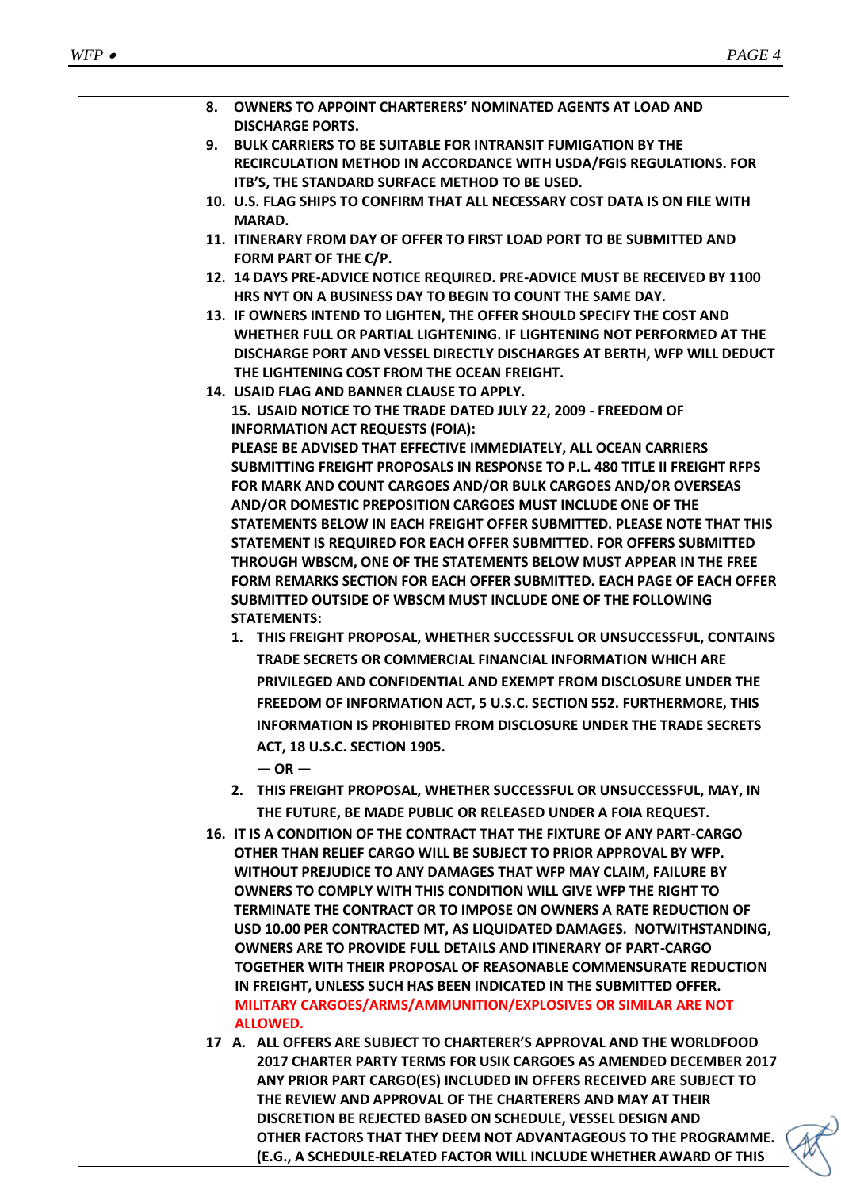| 8. OWNERS TO APPOINT CHARTERERS' NOMINATED AGENTS AT LOAD AND<br><b>DISCHARGE PORTS.</b>                                                      |
|-----------------------------------------------------------------------------------------------------------------------------------------------|
| 9. BULK CARRIERS TO BE SUITABLE FOR INTRANSIT FUMIGATION BY THE                                                                               |
| RECIRCULATION METHOD IN ACCORDANCE WITH USDA/FGIS REGULATIONS. FOR                                                                            |
| ITB'S, THE STANDARD SURFACE METHOD TO BE USED.                                                                                                |
| 10. U.S. FLAG SHIPS TO CONFIRM THAT ALL NECESSARY COST DATA IS ON FILE WITH                                                                   |
| <b>MARAD.</b>                                                                                                                                 |
| 11. ITINERARY FROM DAY OF OFFER TO FIRST LOAD PORT TO BE SUBMITTED AND                                                                        |
| FORM PART OF THE C/P.                                                                                                                         |
| 12. 14 DAYS PRE-ADVICE NOTICE REQUIRED. PRE-ADVICE MUST BE RECEIVED BY 1100                                                                   |
| HRS NYT ON A BUSINESS DAY TO BEGIN TO COUNT THE SAME DAY.                                                                                     |
| 13. IF OWNERS INTEND TO LIGHTEN, THE OFFER SHOULD SPECIFY THE COST AND                                                                        |
| WHETHER FULL OR PARTIAL LIGHTENING. IF LIGHTENING NOT PERFORMED AT THE                                                                        |
| DISCHARGE PORT AND VESSEL DIRECTLY DISCHARGES AT BERTH, WFP WILL DEDUCT                                                                       |
| THE LIGHTENING COST FROM THE OCEAN FREIGHT.                                                                                                   |
| 14. USAID FLAG AND BANNER CLAUSE TO APPLY.                                                                                                    |
| 15. USAID NOTICE TO THE TRADE DATED JULY 22, 2009 - FREEDOM OF                                                                                |
| <b>INFORMATION ACT REQUESTS (FOIA):</b>                                                                                                       |
| PLEASE BE ADVISED THAT EFFECTIVE IMMEDIATELY, ALL OCEAN CARRIERS                                                                              |
| SUBMITTING FREIGHT PROPOSALS IN RESPONSE TO P.L. 480 TITLE II FREIGHT RFPS                                                                    |
| FOR MARK AND COUNT CARGOES AND/OR BULK CARGOES AND/OR OVERSEAS                                                                                |
| AND/OR DOMESTIC PREPOSITION CARGOES MUST INCLUDE ONE OF THE                                                                                   |
| STATEMENTS BELOW IN EACH FREIGHT OFFER SUBMITTED. PLEASE NOTE THAT THIS                                                                       |
| STATEMENT IS REQUIRED FOR EACH OFFER SUBMITTED. FOR OFFERS SUBMITTED                                                                          |
| THROUGH WBSCM, ONE OF THE STATEMENTS BELOW MUST APPEAR IN THE FREE                                                                            |
| FORM REMARKS SECTION FOR EACH OFFER SUBMITTED. EACH PAGE OF EACH OFFER                                                                        |
| SUBMITTED OUTSIDE OF WBSCM MUST INCLUDE ONE OF THE FOLLOWING                                                                                  |
| <b>STATEMENTS:</b>                                                                                                                            |
| 1. THIS FREIGHT PROPOSAL, WHETHER SUCCESSFUL OR UNSUCCESSFUL, CONTAINS                                                                        |
| TRADE SECRETS OR COMMERCIAL FINANCIAL INFORMATION WHICH ARE                                                                                   |
| PRIVILEGED AND CONFIDENTIAL AND EXEMPT FROM DISCLOSURE UNDER THE                                                                              |
| FREEDOM OF INFORMATION ACT, 5 U.S.C. SECTION 552. FURTHERMORE, THIS                                                                           |
| <b>INFORMATION IS PROHIBITED FROM DISCLOSURE UNDER THE TRADE SECRETS</b>                                                                      |
| ACT, 18 U.S.C. SECTION 1905.                                                                                                                  |
| $-$ OR $-$                                                                                                                                    |
| 2. THIS FREIGHT PROPOSAL, WHETHER SUCCESSFUL OR UNSUCCESSFUL, MAY, IN                                                                         |
| THE FUTURE, BE MADE PUBLIC OR RELEASED UNDER A FOIA REQUEST.                                                                                  |
|                                                                                                                                               |
| 16. IT IS A CONDITION OF THE CONTRACT THAT THE FIXTURE OF ANY PART-CARGO<br>OTHER THAN RELIEF CARGO WILL BE SUBJECT TO PRIOR APPROVAL BY WFP. |
| WITHOUT PREJUDICE TO ANY DAMAGES THAT WFP MAY CLAIM, FAILURE BY                                                                               |
| OWNERS TO COMPLY WITH THIS CONDITION WILL GIVE WFP THE RIGHT TO                                                                               |
| TERMINATE THE CONTRACT OR TO IMPOSE ON OWNERS A RATE REDUCTION OF                                                                             |
| USD 10.00 PER CONTRACTED MT, AS LIQUIDATED DAMAGES. NOTWITHSTANDING,                                                                          |
| <b>OWNERS ARE TO PROVIDE FULL DETAILS AND ITINERARY OF PART-CARGO</b>                                                                         |
| TOGETHER WITH THEIR PROPOSAL OF REASONABLE COMMENSURATE REDUCTION                                                                             |
| IN FREIGHT, UNLESS SUCH HAS BEEN INDICATED IN THE SUBMITTED OFFER.                                                                            |
| MILITARY CARGOES/ARMS/AMMUNITION/EXPLOSIVES OR SIMILAR ARE NOT                                                                                |
| <b>ALLOWED.</b>                                                                                                                               |
| 17 A. ALL OFFERS ARE SUBJECT TO CHARTERER'S APPROVAL AND THE WORLDFOOD                                                                        |
| 2017 CHARTER PARTY TERMS FOR USIK CARGOES AS AMENDED DECEMBER 2017                                                                            |
| ANY PRIOR PART CARGO(ES) INCLUDED IN OFFERS RECEIVED ARE SUBJECT TO                                                                           |
| THE REVIEW AND APPROVAL OF THE CHARTERERS AND MAY AT THEIR                                                                                    |
| DISCRETION BE REJECTED BASED ON SCHEDULE, VESSEL DESIGN AND                                                                                   |

**OTHER FACTORS THAT THEY DEEM NOT ADVANTAGEOUS TO THE PROGRAMME. (E.G., A SCHEDULE-RELATED FACTOR WILL INCLUDE WHETHER AWARD OF THIS**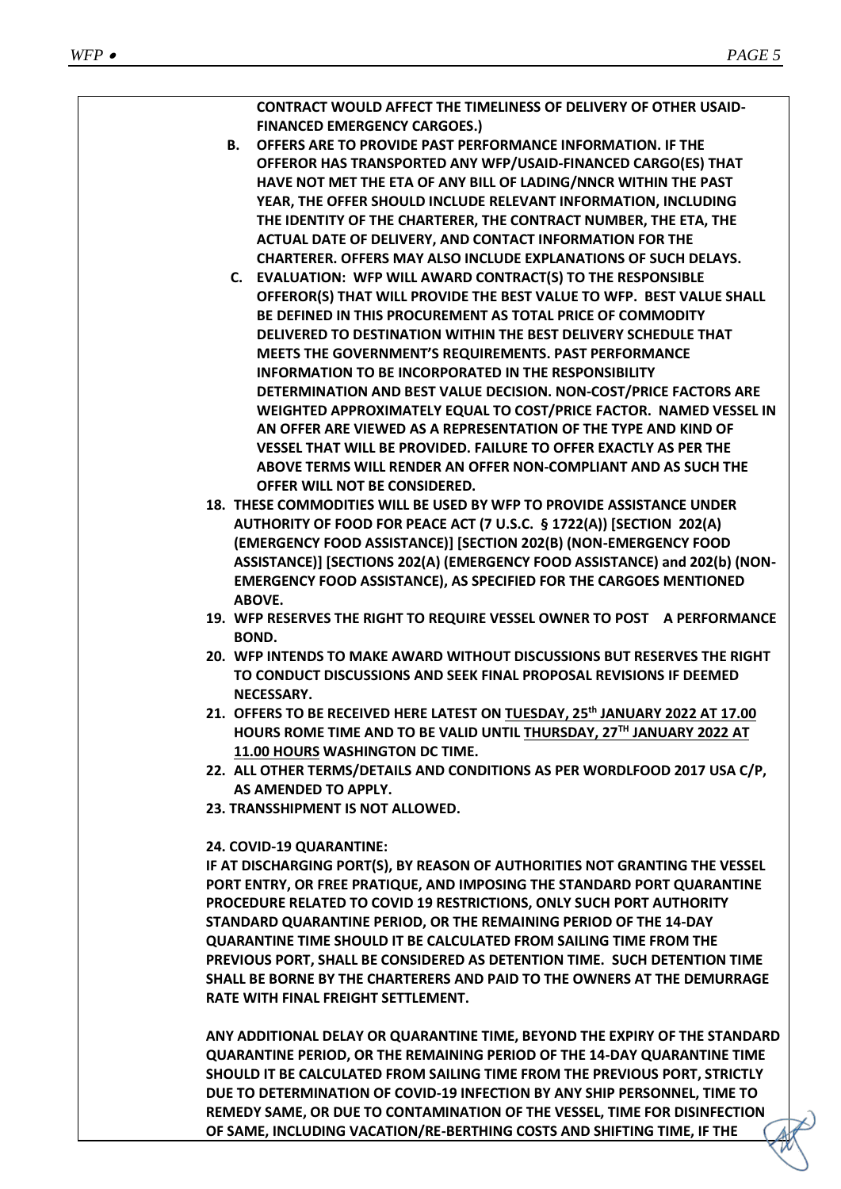

**OF SAME, INCLUDING VACATION/RE-BERTHING COSTS AND SHIFTING TIME, IF THE**